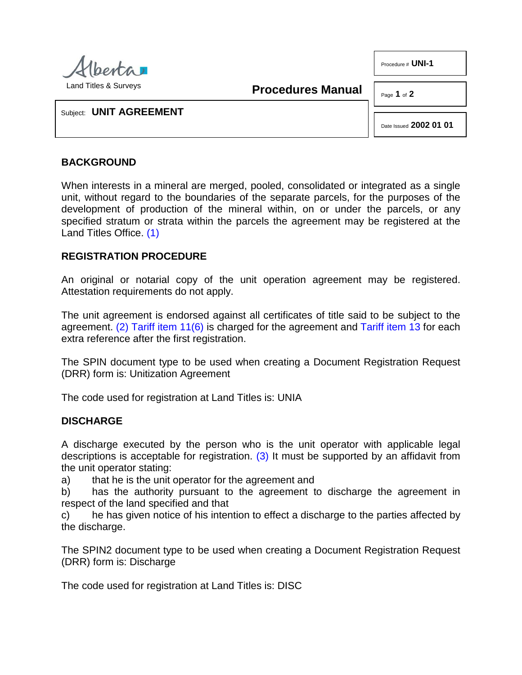

**Procedures Manual**

Page **1** of **2**

Procedure # **UNI-1**

Subject: **UNIT AGREEMENT**

Date Issued **2002 01 01**

## **BACKGROUND**

When interests in a mineral are merged, pooled, consolidated or integrated as a single unit, without regard to the boundaries of the separate parcels, for the purposes of the development of production of the mineral within, on or under the parcels, or any specified stratum or strata within the parcels the agreement may be registered at the Land Titles Office. [\(1\)](#page-1-0)

## <span id="page-0-0"></span>**REGISTRATION PROCEDURE**

An original or notarial copy of the unit operation agreement may be registered. Attestation requirements do not apply.

<span id="page-0-1"></span>The unit agreement is endorsed against all certificates of title said to be subject to the agreement. [\(2\)](#page-1-1) [Tariff item 11\(6\)](http://www.servicealberta.ca/pdf/ltmanual/APPENDIXI.PDF) is charged for the agreement and [Tariff item 13](http://www.servicealberta.ca/pdf/ltmanual/APPENDIXI.PDF) for each extra reference after the first registration.

The SPIN document type to be used when creating a Document Registration Request (DRR) form is: Unitization Agreement

The code used for registration at Land Titles is: UNIA

## **DISCHARGE**

<span id="page-0-2"></span>A discharge executed by the person who is the unit operator with applicable legal descriptions is acceptable for registration. [\(3\)](#page-1-2) It must be supported by an affidavit from the unit operator stating:

a) that he is the unit operator for the agreement and

b) has the authority pursuant to the agreement to discharge the agreement in respect of the land specified and that

c) he has given notice of his intention to effect a discharge to the parties affected by the discharge.

The SPIN2 document type to be used when creating a Document Registration Request (DRR) form is: Discharge

The code used for registration at Land Titles is: DISC